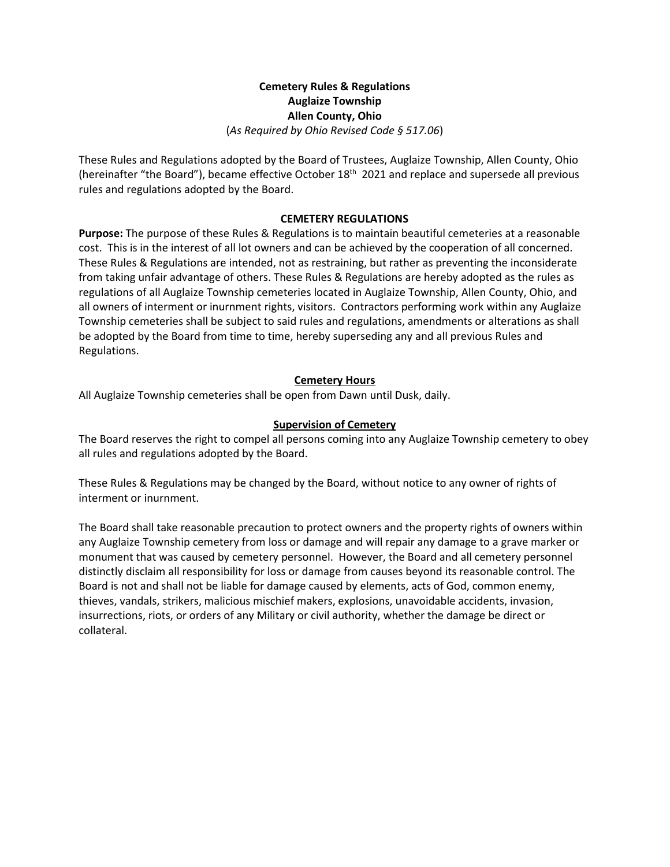## **Cemetery Rules & Regulations Auglaize Township Allen County, Ohio**  (*As Required by Ohio Revised Code § 517.06*)

These Rules and Regulations adopted by the Board of Trustees, Auglaize Township, Allen County, Ohio (hereinafter "the Board"), became effective October 18<sup>th</sup> 2021 and replace and supersede all previous rules and regulations adopted by the Board.

## **CEMETERY REGULATIONS**

**Purpose:** The purpose of these Rules & Regulations is to maintain beautiful cemeteries at a reasonable cost. This is in the interest of all lot owners and can be achieved by the cooperation of all concerned. These Rules & Regulations are intended, not as restraining, but rather as preventing the inconsiderate from taking unfair advantage of others. These Rules & Regulations are hereby adopted as the rules as regulations of all Auglaize Township cemeteries located in Auglaize Township, Allen County, Ohio, and all owners of interment or inurnment rights, visitors. Contractors performing work within any Auglaize Township cemeteries shall be subject to said rules and regulations, amendments or alterations as shall be adopted by the Board from time to time, hereby superseding any and all previous Rules and Regulations.

## **Cemetery Hours**

All Auglaize Township cemeteries shall be open from Dawn until Dusk, daily.

## **Supervision of Cemetery**

The Board reserves the right to compel all persons coming into any Auglaize Township cemetery to obey all rules and regulations adopted by the Board.

These Rules & Regulations may be changed by the Board, without notice to any owner of rights of interment or inurnment.

The Board shall take reasonable precaution to protect owners and the property rights of owners within any Auglaize Township cemetery from loss or damage and will repair any damage to a grave marker or monument that was caused by cemetery personnel. However, the Board and all cemetery personnel distinctly disclaim all responsibility for loss or damage from causes beyond its reasonable control. The Board is not and shall not be liable for damage caused by elements, acts of God, common enemy, thieves, vandals, strikers, malicious mischief makers, explosions, unavoidable accidents, invasion, insurrections, riots, or orders of any Military or civil authority, whether the damage be direct or collateral.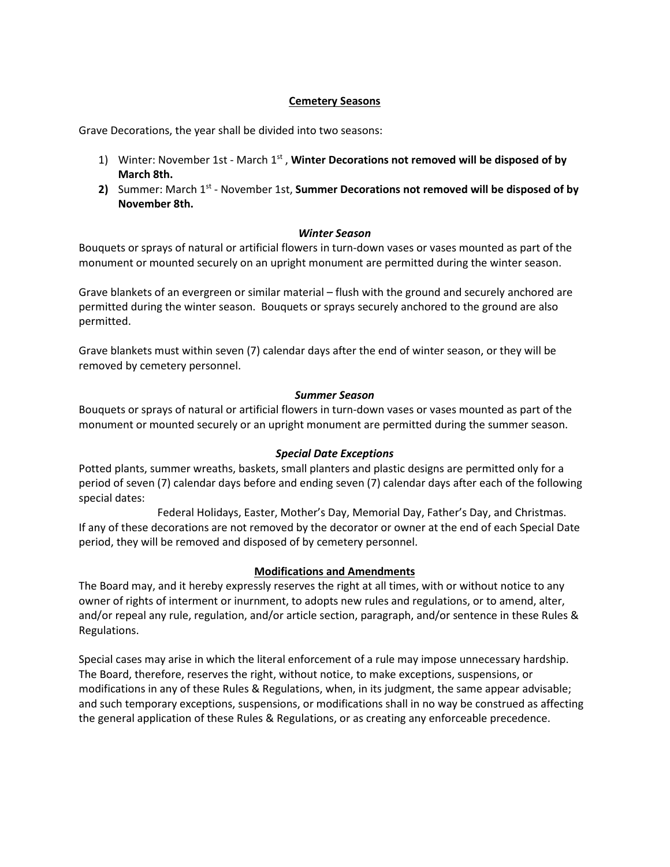## **Cemetery Seasons**

Grave Decorations, the year shall be divided into two seasons:

- 1) Winter: November 1st March 1<sup>st</sup>, Winter Decorations not removed will be disposed of by **March 8th.**
- **2)** Summer: March 1st November 1st, **Summer Decorations not removed will be disposed of by November 8th.**

#### *Winter Season*

Bouquets or sprays of natural or artificial flowers in turn-down vases or vases mounted as part of the monument or mounted securely on an upright monument are permitted during the winter season.

Grave blankets of an evergreen or similar material – flush with the ground and securely anchored are permitted during the winter season. Bouquets or sprays securely anchored to the ground are also permitted.

Grave blankets must within seven (7) calendar days after the end of winter season, or they will be removed by cemetery personnel.

#### *Summer Season*

Bouquets or sprays of natural or artificial flowers in turn-down vases or vases mounted as part of the monument or mounted securely or an upright monument are permitted during the summer season.

#### *Special Date Exceptions*

Potted plants, summer wreaths, baskets, small planters and plastic designs are permitted only for a period of seven (7) calendar days before and ending seven (7) calendar days after each of the following special dates:

Federal Holidays, Easter, Mother's Day, Memorial Day, Father's Day, and Christmas. If any of these decorations are not removed by the decorator or owner at the end of each Special Date period, they will be removed and disposed of by cemetery personnel.

## **Modifications and Amendments**

The Board may, and it hereby expressly reserves the right at all times, with or without notice to any owner of rights of interment or inurnment, to adopts new rules and regulations, or to amend, alter, and/or repeal any rule, regulation, and/or article section, paragraph, and/or sentence in these Rules & Regulations.

Special cases may arise in which the literal enforcement of a rule may impose unnecessary hardship. The Board, therefore, reserves the right, without notice, to make exceptions, suspensions, or modifications in any of these Rules & Regulations, when, in its judgment, the same appear advisable; and such temporary exceptions, suspensions, or modifications shall in no way be construed as affecting the general application of these Rules & Regulations, or as creating any enforceable precedence.